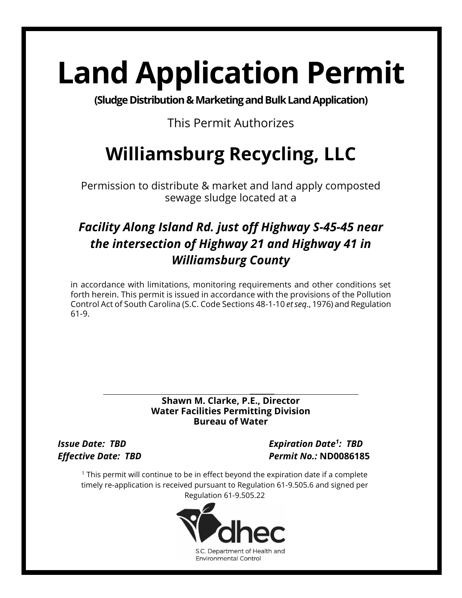# **Land Application Permit**

**(Sludge Distribution & Marketing and Bulk Land Application)** 

#### This Permit Authorizes

## **Williamsburg Recycling, LLC**

Permission to distribute & market and land apply composted sewage sludge located at a

### *Facility Along Island Rd. just off Highway S-45-45 near the intersection of Highway 21 and Highway 41 in Williamsburg County*

in accordance with limitations, monitoring requirements and other conditions set forth herein. This permit is issued in accordance with the provisions of the Pollution Control Act of South Carolina (S.C. Code Sections 48-1-10 *et seq*., 1976) and Regulation 61-9.

#### $\overline{\phantom{a}}$ **Shawn M. Clarke, P.E., Director Water Facilities Permitting Division Bureau of Water**

*Issue Date: TBD Expiration Date 1 : TBD Effective Date: TBD Permit No.:* **ND0086185**

 $1$  This permit will continue to be in effect beyond the expiration date if a complete timely re-application is received pursuant to Regulation 61-9.505.6 and signed per Regulation 61-9.505.22

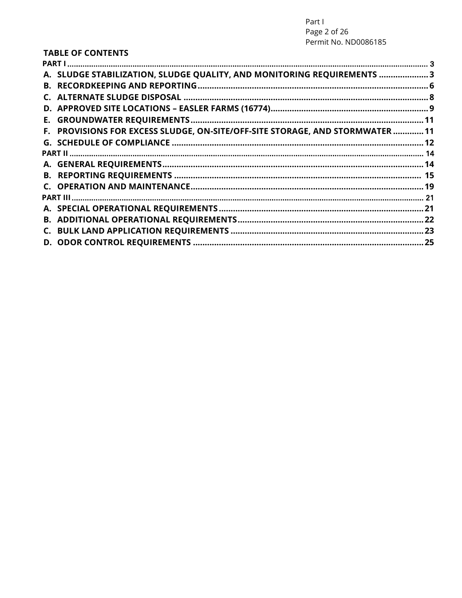#### **TABLE OF CONTENTS**

| A. SLUDGE STABILIZATION, SLUDGE QUALITY, AND MONITORING REQUIREMENTS  3       |  |
|-------------------------------------------------------------------------------|--|
|                                                                               |  |
|                                                                               |  |
|                                                                               |  |
|                                                                               |  |
| F. PROVISIONS FOR EXCESS SLUDGE, ON-SITE/OFF-SITE STORAGE, AND STORMWATER  11 |  |
|                                                                               |  |
|                                                                               |  |
|                                                                               |  |
|                                                                               |  |
|                                                                               |  |
|                                                                               |  |
|                                                                               |  |
|                                                                               |  |
|                                                                               |  |
|                                                                               |  |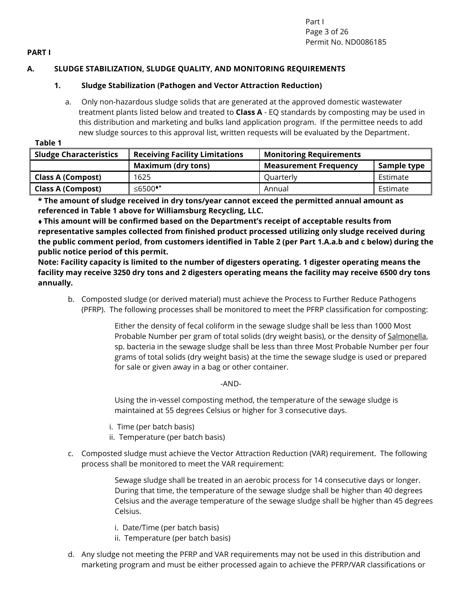Part I Page 3 of 26 Permit No. ND0086185

#### <span id="page-2-0"></span>**PART I**

#### <span id="page-2-1"></span>**A. SLUDGE STABILIZATION, SLUDGE QUALITY, AND MONITORING REQUIREMENTS**

#### **1. Sludge Stabilization (Pathogen and Vector Attraction Reduction)**

a. Only non-hazardous sludge solids that are generated at the approved domestic wastewater treatment plants listed below and treated to **Class A** - EQ standards by composting may be used in this distribution and marketing and bulks land application program. If the permittee needs to add new sludge sources to this approval list, written requests will be evaluated by the Department.

 **Table 1**

| <b>Sludge Characteristics</b> | <b>Receiving Facility Limitations</b> | <b>Monitoring Requirements</b> |             |
|-------------------------------|---------------------------------------|--------------------------------|-------------|
|                               | <b>Maximum (dry tons)</b>             | <b>Measurement Frequency</b>   | Sample type |
| <b>Class A (Compost)</b>      | 1625                                  | Quarterly                      | Estimate    |
| <b>Class A (Compost)</b>      | ≤6500 <sup>**</sup>                   | Annual                         | Estimate    |

**\* The amount of sludge received in dry tons/year cannot exceed the permitted annual amount as referenced in Table 1 above for Williamsburg Recycling, LLC.**

♦ **This amount will be confirmed based on the Department's receipt of acceptable results from representative samples collected from finished product processed utilizing only sludge received during the public comment period, from customers identified in Table 2 (per Part 1.A.a.b and c below) during the public notice period of this permit.**

**Note: Facility capacity is limited to the number of digesters operating. 1 digester operating means the facility may receive 3250 dry tons and 2 digesters operating means the facility may receive 6500 dry tons annually.**

b. Composted sludge (or derived material) must achieve the Process to Further Reduce Pathogens (PFRP). The following processes shall be monitored to meet the PFRP classification for composting:

> Either the density of fecal coliform in the sewage sludge shall be less than 1000 Most Probable Number per gram of total solids (dry weight basis), or the density of Salmonella, sp. bacteria in the sewage sludge shall be less than three Most Probable Number per four grams of total solids (dry weight basis) at the time the sewage sludge is used or prepared for sale or given away in a bag or other container.

#### -AND-

Using the in-vessel composting method, the temperature of the sewage sludge is maintained at 55 degrees Celsius or higher for 3 consecutive days.

- i. Time (per batch basis)
- ii. Temperature (per batch basis)
- c. Composted sludge must achieve the Vector Attraction Reduction (VAR) requirement. The following process shall be monitored to meet the VAR requirement:

Sewage sludge shall be treated in an aerobic process for 14 consecutive days or longer. During that time, the temperature of the sewage sludge shall be higher than 40 degrees Celsius and the average temperature of the sewage sludge shall be higher than 45 degrees Celsius.

- i. Date/Time (per batch basis)
- ii. Temperature (per batch basis)
- d. Any sludge not meeting the PFRP and VAR requirements may not be used in this distribution and marketing program and must be either processed again to achieve the PFRP/VAR classifications or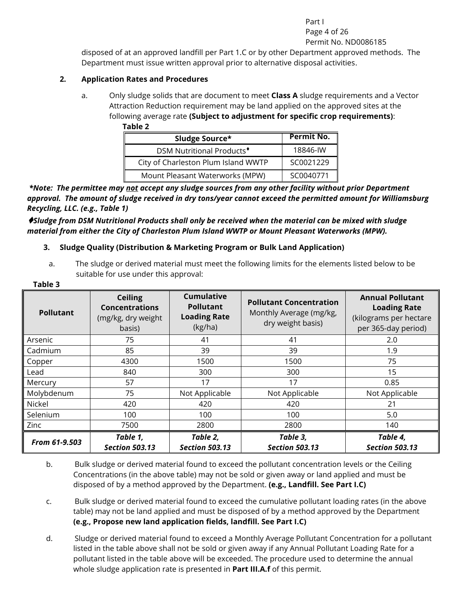Part I Page 4 of 26 Permit No. ND0086185

disposed of at an approved landfill per Part 1.C or by other Department approved methods. The Department must issue written approval prior to alternative disposal activities.

#### **2. Application Rates and Procedures**

a. Only sludge solids that are document to meet **Class A** sludge requirements and a Vector Attraction Reduction requirement may be land applied on the approved sites at the following average rate **(Subject to adjustment for specific crop requirements)**:  **Table 2**

| Sludge Source*                        | Permit No. |
|---------------------------------------|------------|
| DSM Nutritional Products <sup>+</sup> | 18846-IW   |
| City of Charleston Plum Island WWTP   | SC0021229  |
| Mount Pleasant Waterworks (MPW)       | SC0040771  |

*\*Note: The permittee may not accept any sludge sources from any other facility without prior Department approval. The amount of sludge received in dry tons/year cannot exceed the permitted amount for Williamsburg Recycling, LLC. (e.g., Table 1)*

♦*Sludge from DSM Nutritional Products shall only be received when the material can be mixed with sludge material from either the City of Charleston Plum Island WWTP or Mount Pleasant Waterworks (MPW).*

#### **3. Sludge Quality (Distribution & Marketing Program or Bulk Land Application)**

a. The sludge or derived material must meet the following limits for the elements listed below to be suitable for use under this approval:

| <b>Pollutant</b> | <b>Ceiling</b><br><b>Concentrations</b><br>(mg/kg, dry weight<br>basis) | <b>Cumulative</b><br><b>Pollutant</b><br><b>Loading Rate</b><br>(kg/ha) | <b>Pollutant Concentration</b><br>Monthly Average (mg/kg,<br>dry weight basis) | <b>Annual Pollutant</b><br><b>Loading Rate</b><br>(kilograms per hectare<br>per 365-day period) |
|------------------|-------------------------------------------------------------------------|-------------------------------------------------------------------------|--------------------------------------------------------------------------------|-------------------------------------------------------------------------------------------------|
| Arsenic          | 75                                                                      | 41                                                                      | 41                                                                             | 2.0                                                                                             |
| Cadmium          | 85                                                                      | 39                                                                      | 39                                                                             | 1.9                                                                                             |
| Copper           | 4300                                                                    | 1500                                                                    | 1500                                                                           | 75                                                                                              |
| Lead             | 840                                                                     | 300                                                                     | 300                                                                            | 15                                                                                              |
| Mercury          | 57                                                                      | 17                                                                      | 17                                                                             | 0.85                                                                                            |
| Molybdenum       | 75                                                                      | Not Applicable                                                          | Not Applicable                                                                 | Not Applicable                                                                                  |
| <b>Nickel</b>    | 420                                                                     | 420                                                                     | 420                                                                            | 21                                                                                              |
| Selenium         | 100                                                                     | 100                                                                     | 100                                                                            | 5.0                                                                                             |
| Zinc             | 7500                                                                    | 2800                                                                    | 2800                                                                           | 140                                                                                             |
| From 61-9.503    | Table 1,<br><b>Section 503.13</b>                                       | Table 2,<br><b>Section 503.13</b>                                       | Table 3,<br><b>Section 503.13</b>                                              | Table 4,<br><b>Section 503.13</b>                                                               |

#### **Table 3**

b. Bulk sludge or derived material found to exceed the pollutant concentration levels or the Ceiling Concentrations (in the above table) may not be sold or given away or land applied and must be disposed of by a method approved by the Department. **(e.g., Landfill. See Part I.C)**

c. Bulk sludge or derived material found to exceed the cumulative pollutant loading rates (in the above table) may not be land applied and must be disposed of by a method approved by the Department **(e.g., Propose new land application fields, landfill. See Part I.C)**

d. Sludge or derived material found to exceed a Monthly Average Pollutant Concentration for a pollutant listed in the table above shall not be sold or given away if any Annual Pollutant Loading Rate for a pollutant listed in the table above will be exceeded. The procedure used to determine the annual whole sludge application rate is presented in **Part III.A.f** of this permit.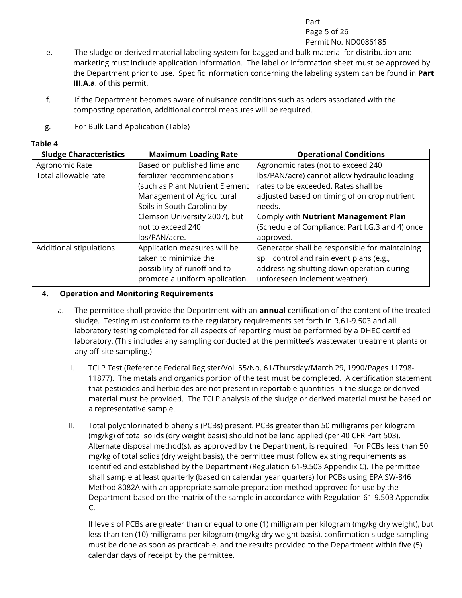#### Part I

Page 5 of 26

#### Permit No. ND0086185

- e. The sludge or derived material labeling system for bagged and bulk material for distribution and marketing must include application information. The label or information sheet must be approved by the Department prior to use. Specific information concerning the labeling system can be found in **Part III.A.a**. of this permit.
- f. If the Department becomes aware of nuisance conditions such as odors associated with the composting operation, additional control measures will be required.
- g. For Bulk Land Application (Table)

#### **Table 4**

| <b>Sludge Characteristics</b> | <b>Maximum Loading Rate</b>                                                                                             | <b>Operational Conditions</b>                                                                                                                                              |
|-------------------------------|-------------------------------------------------------------------------------------------------------------------------|----------------------------------------------------------------------------------------------------------------------------------------------------------------------------|
| Agronomic Rate                | Based on published lime and                                                                                             | Agronomic rates (not to exceed 240                                                                                                                                         |
| Total allowable rate          | fertilizer recommendations                                                                                              | Ibs/PAN/acre) cannot allow hydraulic loading                                                                                                                               |
|                               | (such as Plant Nutrient Element                                                                                         | rates to be exceeded. Rates shall be                                                                                                                                       |
|                               | Management of Agricultural                                                                                              | adjusted based on timing of on crop nutrient                                                                                                                               |
|                               | Soils in South Carolina by                                                                                              | needs.                                                                                                                                                                     |
|                               | Clemson University 2007), but                                                                                           | Comply with Nutrient Management Plan                                                                                                                                       |
|                               | not to exceed 240                                                                                                       | (Schedule of Compliance: Part I.G.3 and 4) once                                                                                                                            |
|                               | lbs/PAN/acre.                                                                                                           | approved.                                                                                                                                                                  |
| Additional stipulations       | Application measures will be<br>taken to minimize the<br>possibility of runoff and to<br>promote a uniform application. | Generator shall be responsible for maintaining<br>spill control and rain event plans (e.g.,<br>addressing shutting down operation during<br>unforeseen inclement weather). |

#### **4. Operation and Monitoring Requirements**

- a. The permittee shall provide the Department with an **annual** certification of the content of the treated sludge. Testing must conform to the regulatory requirements set forth in R.61-9.503 and all laboratory testing completed for all aspects of reporting must be performed by a DHEC certified laboratory. (This includes any sampling conducted at the permittee's wastewater treatment plants or any off-site sampling.)
	- I. TCLP Test (Reference Federal Register/Vol. 55/No. 61/Thursday/March 29, 1990/Pages 11798- 11877). The metals and organics portion of the test must be completed. A certification statement that pesticides and herbicides are not present in reportable quantities in the sludge or derived material must be provided. The TCLP analysis of the sludge or derived material must be based on a representative sample.
	- II. Total polychlorinated biphenyls (PCBs) present. PCBs greater than 50 milligrams per kilogram (mg/kg) of total solids (dry weight basis) should not be land applied (per 40 CFR Part 503). Alternate disposal method(s), as approved by the Department, is required. For PCBs less than 50 mg/kg of total solids (dry weight basis), the permittee must follow existing requirements as identified and established by the Department (Regulation 61-9.503 Appendix C). The permittee shall sample at least quarterly (based on calendar year quarters) for PCBs using EPA SW-846 Method 8082A with an appropriate sample preparation method approved for use by the Department based on the matrix of the sample in accordance with Regulation 61-9.503 Appendix C.

If levels of PCBs are greater than or equal to one (1) milligram per kilogram (mg/kg dry weight), but less than ten (10) milligrams per kilogram (mg/kg dry weight basis), confirmation sludge sampling must be done as soon as practicable, and the results provided to the Department within five (5) calendar days of receipt by the permittee.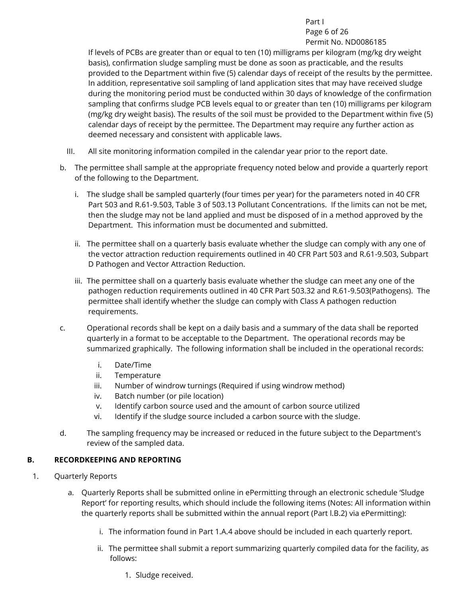Part I

Page 6 of 26 Permit No. ND0086185

If levels of PCBs are greater than or equal to ten (10) milligrams per kilogram (mg/kg dry weight basis), confirmation sludge sampling must be done as soon as practicable, and the results provided to the Department within five (5) calendar days of receipt of the results by the permittee. In addition, representative soil sampling of land application sites that may have received sludge during the monitoring period must be conducted within 30 days of knowledge of the confirmation sampling that confirms sludge PCB levels equal to or greater than ten (10) milligrams per kilogram (mg/kg dry weight basis). The results of the soil must be provided to the Department within five (5) calendar days of receipt by the permittee. The Department may require any further action as deemed necessary and consistent with applicable laws.

- III. All site monitoring information compiled in the calendar year prior to the report date.
- b. The permittee shall sample at the appropriate frequency noted below and provide a quarterly report of the following to the Department.
	- i. The sludge shall be sampled quarterly (four times per year) for the parameters noted in 40 CFR Part 503 and R.61-9.503, Table 3 of 503.13 Pollutant Concentrations. If the limits can not be met, then the sludge may not be land applied and must be disposed of in a method approved by the Department. This information must be documented and submitted.
	- ii. The permittee shall on a quarterly basis evaluate whether the sludge can comply with any one of the vector attraction reduction requirements outlined in 40 CFR Part 503 and R.61-9.503, Subpart D Pathogen and Vector Attraction Reduction.
	- iii. The permittee shall on a quarterly basis evaluate whether the sludge can meet any one of the pathogen reduction requirements outlined in 40 CFR Part 503.32 and R.61-9.503(Pathogens). The permittee shall identify whether the sludge can comply with Class A pathogen reduction requirements.
- c. Operational records shall be kept on a daily basis and a summary of the data shall be reported quarterly in a format to be acceptable to the Department. The operational records may be summarized graphically. The following information shall be included in the operational records:
	- i. Date/Time
	- ii. Temperature
	- iii. Number of windrow turnings (Required if using windrow method)
	- iv. Batch number (or pile location)
	- v. Identify carbon source used and the amount of carbon source utilized
	- vi. Identify if the sludge source included a carbon source with the sludge.
- d. The sampling frequency may be increased or reduced in the future subject to the Department's review of the sampled data.

#### <span id="page-5-0"></span>**B. RECORDKEEPING AND REPORTING**

- 1. Quarterly Reports
	- a. Quarterly Reports shall be submitted online in ePermitting through an electronic schedule 'Sludge Report' for reporting results, which should include the following items (Notes: All information within the quarterly reports shall be submitted within the annual report (Part l.B.2) via ePermitting):
		- i. The information found in Part 1.A.4 above should be included in each quarterly report.
		- ii. The permittee shall submit a report summarizing quarterly compiled data for the facility, as follows:
			- 1. Sludge received.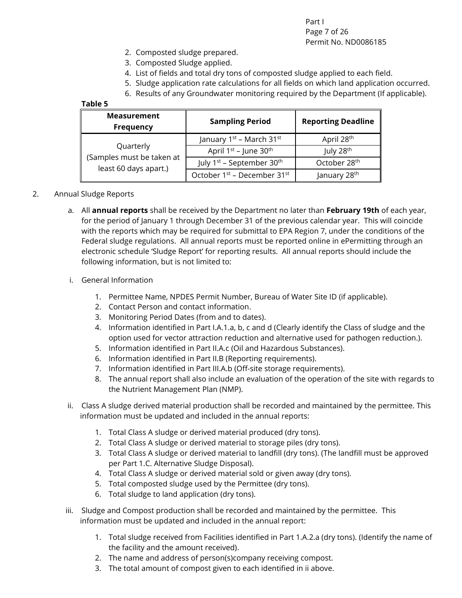Part I Page 7 of 26 Permit No. ND0086185

- 2. Composted sludge prepared.
- 3. Composted Sludge applied.
- 4. List of fields and total dry tons of composted sludge applied to each field.
- 5. Sludge application rate calculations for all fields on which land application occurred.
- 6. Results of any Groundwater monitoring required by the Department (If applicable).

#### **Table 5**

| <b>Measurement</b><br><b>Frequency</b>             | <b>Sampling Period</b>                            | <b>Reporting Deadline</b> |
|----------------------------------------------------|---------------------------------------------------|---------------------------|
|                                                    | January 1 <sup>st</sup> – March 31st              | April 28th                |
| Quarterly                                          | April 1 <sup>st</sup> - June 30 <sup>th</sup>     | July 28 <sup>th</sup>     |
| (Samples must be taken at<br>least 60 days apart.) | July 1 <sup>st</sup> - September 30 <sup>th</sup> | October 28th              |
|                                                    | October 1 <sup>st</sup> - December 31st           | January 28 <sup>th</sup>  |

#### 2. Annual Sludge Reports

a. All **annual reports** shall be received by the Department no later than **February 19th** of each year, for the period of January 1 through December 31 of the previous calendar year. This will coincide with the reports which may be required for submittal to EPA Region 7, under the conditions of the Federal sludge regulations. All annual reports must be reported online in ePermitting through an electronic schedule 'Sludge Report' for reporting results. All annual reports should include the following information, but is not limited to:

#### i. General Information

- 1. Permittee Name, NPDES Permit Number, Bureau of Water Site ID (if applicable).
- 2. Contact Person and contact information.
- 3. Monitoring Period Dates (from and to dates).
- 4. Information identified in Part I.A.1.a, b, c and d (Clearly identify the Class of sludge and the option used for vector attraction reduction and alternative used for pathogen reduction.).
- 5. Information identified in Part II.A.c (Oil and Hazardous Substances).
- 6. Information identified in Part II.B (Reporting requirements).
- 7. Information identified in Part III.A.b (Off-site storage requirements).
- 8. The annual report shall also include an evaluation of the operation of the site with regards to the Nutrient Management Plan (NMP).
- ii. Class A sludge derived material production shall be recorded and maintained by the permittee. This information must be updated and included in the annual reports:
	- 1. Total Class A sludge or derived material produced (dry tons).
	- 2. Total Class A sludge or derived material to storage piles (dry tons).
	- 3. Total Class A sludge or derived material to landfill (dry tons). (The landfill must be approved per Part 1.C. Alternative Sludge Disposal).
	- 4. Total Class A sludge or derived material sold or given away (dry tons).
	- 5. Total composted sludge used by the Permittee (dry tons).
	- 6. Total sludge to land application (dry tons).
- iii. Sludge and Compost production shall be recorded and maintained by the permittee. This information must be updated and included in the annual report:
	- 1. Total sludge received from Facilities identified in Part 1.A.2.a (dry tons). (Identify the name of the facility and the amount received).
	- 2. The name and address of person(s)company receiving compost.
	- 3. The total amount of compost given to each identified in ii above.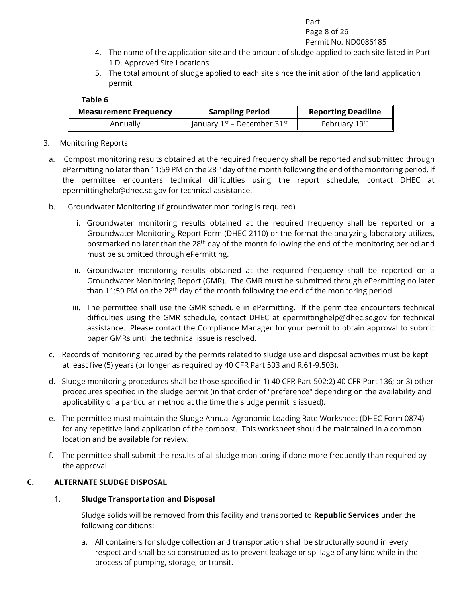#### Part I

#### Page 8 of 26

- Permit No. ND0086185
- 4. The name of the application site and the amount of sludge applied to each site listed in Part 1.D. Approved Site Locations.
- 5. The total amount of sludge applied to each site since the initiation of the land application permit.

| <b>Measurement Frequency</b> | <b>Sampling Period</b>                              | <b>Reporting Deadline</b> |
|------------------------------|-----------------------------------------------------|---------------------------|
| Annually                     | January 1 <sup>st</sup> – December 31 <sup>st</sup> | February 19th             |

- 3. Monitoring Reports
- a. Compost monitoring results obtained at the required frequency shall be reported and submitted through ePermitting no later than 11:59 PM on the 28<sup>th</sup> day of the month following the end of the monitoring period. If the permittee encounters technical difficulties using the report schedule, contact DHEC at epermittinghelp@dhec.sc.gov for technical assistance.
- b. Groundwater Monitoring (If groundwater monitoring is required)
	- i. Groundwater monitoring results obtained at the required frequency shall be reported on a Groundwater Monitoring Report Form (DHEC 2110) or the format the analyzing laboratory utilizes, postmarked no later than the 28<sup>th</sup> day of the month following the end of the monitoring period and must be submitted through ePermitting.
	- ii. Groundwater monitoring results obtained at the required frequency shall be reported on a Groundwater Monitoring Report (GMR). The GMR must be submitted through ePermitting no later than 11:59 PM on the 28<sup>th</sup> day of the month following the end of the monitoring period.
	- iii. The permittee shall use the GMR schedule in ePermitting. If the permittee encounters technical difficulties using the GMR schedule, contact DHEC at epermittinghelp@dhec.sc.gov for technical assistance. Please contact the Compliance Manager for your permit to obtain approval to submit paper GMRs until the technical issue is resolved.
- c. Records of monitoring required by the permits related to sludge use and disposal activities must be kept at least five (5) years (or longer as required by 40 CFR Part 503 and R.61-9.503).
- d. Sludge monitoring procedures shall be those specified in 1) 40 CFR Part 502;2) 40 CFR Part 136; or 3) other procedures specified in the sludge permit (in that order of "preference" depending on the availability and applicability of a particular method at the time the sludge permit is issued).
- e. The permittee must maintain the Sludge Annual Agronomic Loading Rate Worksheet (DHEC Form 0874) for any repetitive land application of the compost. This worksheet should be maintained in a common location and be available for review.
- f. The permittee shall submit the results of all sludge monitoring if done more frequently than required by the approval.

#### <span id="page-7-0"></span>**C. ALTERNATE SLUDGE DISPOSAL**

#### 1. **Sludge Transportation and Disposal**

Sludge solids will be removed from this facility and transported to **Republic Services** under the following conditions:

a. All containers for sludge collection and transportation shall be structurally sound in every respect and shall be so constructed as to prevent leakage or spillage of any kind while in the process of pumping, storage, or transit.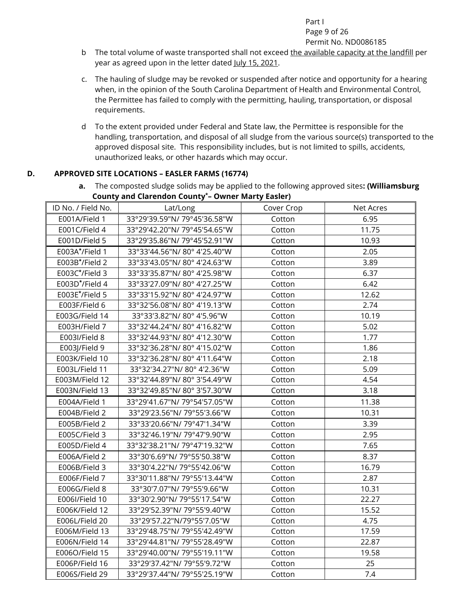#### Part I

#### Page 9 of 26 Permit No. ND0086185

- b The total volume of waste transported shall not exceed the available capacity at the landfill per year as agreed upon in the letter dated July 15, 2021.
- c. The hauling of sludge may be revoked or suspended after notice and opportunity for a hearing when, in the opinion of the South Carolina Department of Health and Environmental Control, the Permittee has failed to comply with the permitting, hauling, transportation, or disposal requirements.
- d To the extent provided under Federal and State law, the Permittee is responsible for the handling, transportation, and disposal of all sludge from the various source(s) transported to the approved disposal site. This responsibility includes, but is not limited to spills, accidents, unauthorized leaks, or other hazards which may occur.

#### <span id="page-8-0"></span>**D. APPROVED SITE LOCATIONS – EASLER FARMS (16774)**

**a.** The composted sludge solids may be applied to the following approved sites**: (Williamsburg County and Clarendon County\*– Owner Marty Easler)**

|                    | . <i>.</i>                   | .          |           |
|--------------------|------------------------------|------------|-----------|
| ID No. / Field No. | Lat/Long                     | Cover Crop | Net Acres |
| E001A/Field 1      | 33°29'39.59"N/79°45'36.58"W  | Cotton     | 6.95      |
| E001C/Field 4      | 33°29'42.20"N/79°45'54.65"W  | Cotton     | 11.75     |
| E001D/Field 5      | 33°29'35.86"N/79°45'52.91"W  | Cotton     | 10.93     |
| E003A*/Field 1     | 33°33'44.56"N/80°4'25.40"W   | Cotton     | 2.05      |
| E003B*/Field 2     | 33°33'43.05"N/80°4'24.63"W   | Cotton     | 3.89      |
| E003C*/Field 3     | 33°33'35.87"N/80°4'25.98"W   | Cotton     | 6.37      |
| E003D*/Field 4     | 33°33'27.09"N/80°4'27.25"W   | Cotton     | 6.42      |
| E003E*/Field 5     | 33°33'15.92"N/80°4'24.97"W   | Cotton     | 12.62     |
| E003F/Field 6      | 33°32'56.08"N/80°4'19.13"W   | Cotton     | 2.74      |
| E003G/Field 14     | 33°33'3.82"N/80°4'5.96"W     | Cotton     | 10.19     |
| E003H/Field 7      | 33°32'44.24"N/80°4'16.82"W   | Cotton     | 5.02      |
| E003I/Field 8      | 33°32'44.93"N/80°4'12.30"W   | Cotton     | 1.77      |
| E003J/Field 9      | 33°32'36.28"N/80°4'15.02"W   | Cotton     | 1.86      |
| E003K/Field 10     | 33°32'36.28"N/80°4'11.64"W   | Cotton     | 2.18      |
| E003L/Field 11     | 33°32'34.27"N/80°4'2.36"W    | Cotton     | 5.09      |
| E003M/Field 12     | 33°32'44.89"N/80°3'54.49"W   | Cotton     | 4.54      |
| E003N/Field 13     | 33°32'49.85"N/80°3'57.30"W   | Cotton     | 3.18      |
| E004A/Field 1      | 33°29'41.67"N/ 79°54'57.05"W | Cotton     | 11.38     |
| E004B/Field 2      | 33°29'23.56"N/79°55'3.66"W   | Cotton     | 10.31     |
| E005B/Field 2      | 33°33'20.66"N/79°47'1.34"W   | Cotton     | 3.39      |
| E005C/Field 3      | 33°32'46.19"N/79°47'9.90"W   | Cotton     | 2.95      |
| E005D/Field 4      | 33°32'38.21"N/79°47'19.32"W  | Cotton     | 7.65      |
| E006A/Field 2      | 33°30'6.69"N/ 79°55'50.38"W  | Cotton     | 8.37      |
| E006B/Field 3      | 33°30'4.22"N/ 79°55'42.06"W  | Cotton     | 16.79     |
| E006F/Field 7      | 33°30'11.88"N/79°55'13.44"W  | Cotton     | 2.87      |
| E006G/Field 8      | 33°30'7.07"N/ 79°55'9.66"W   | Cotton     | 10.31     |
| E006I/Field 10     | 33°30'2.90"N/ 79°55'17.54"W  | Cotton     | 22.27     |
| E006K/Field 12     | 33°29'52.39"N/79°55'9.40"W   | Cotton     | 15.52     |
| E006L/Field 20     | 33°29'57.22"N/79°55'7.05"W   | Cotton     | 4.75      |
| E006M/Field 13     | 33°29'48.75"N/79°55'42.49"W  | Cotton     | 17.59     |
| E006N/Field 14     | 33°29'44.81"N/79°55'28.49"W  | Cotton     | 22.87     |
| E006O/Field 15     | 33°29'40.00"N/ 79°55'19.11"W | Cotton     | 19.58     |
| E006P/Field 16     | 33°29'37.42"N/79°55'9.72"W   | Cotton     | 25        |
| E006S/Field 29     | 33°29'37.44"N/79°55'25.19"W  | Cotton     | 7.4       |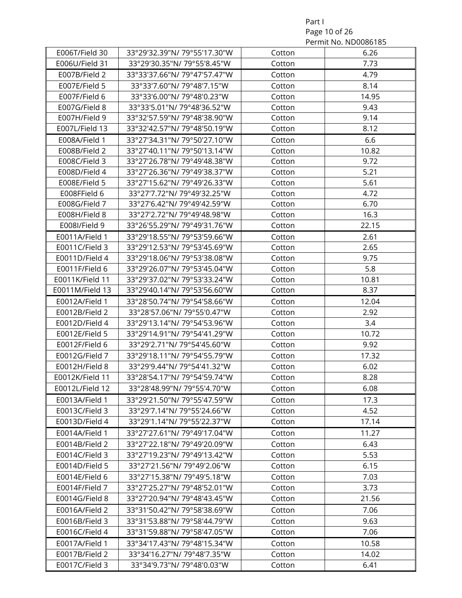Part I Page 10 of 26 Permit No. ND0086185

|                 |                              |        | L CITTIII INO' INDONNON |
|-----------------|------------------------------|--------|-------------------------|
| E006T/Field 30  | 33°29'32.39"N/79°55'17.30"W  | Cotton | 6.26                    |
| E006U/Field 31  | 33°29'30.35"N/79°55'8.45"W   | Cotton | 7.73                    |
| E007B/Field 2   | 33°33'37.66"N/79°47'57.47"W  | Cotton | 4.79                    |
| E007E/Field 5   | 33°33'7.60"N/79°48'7.15"W    | Cotton | 8.14                    |
| E007F/Field 6   | 33°33'6.00"N/79°48'0.23"W    | Cotton | 14.95                   |
| E007G/Field 8   | 33°33'5.01"N/79°48'36.52"W   | Cotton | 9.43                    |
| E007H/Field 9   | 33°32'57.59"N/ 79°48'38.90"W | Cotton | 9.14                    |
| E007L/Field 13  | 33°32'42.57"N/79°48'50.19"W  | Cotton | 8.12                    |
| E008A/Field 1   | 33°27'34.31"N/79°50'27.10"W  | Cotton | 6.6                     |
| E008B/Field 2   | 33°27'40.11"N/79°50'13.14"W  | Cotton | 10.82                   |
| E008C/Field 3   | 33°27'26.78"N/79°49'48.38"W  | Cotton | 9.72                    |
| E008D/Field 4   | 33°27'26.36"N/79°49'38.37"W  | Cotton | 5.21                    |
| E008E/Field 5   | 33°27'15.62"N/79°49'26.33"W  | Cotton | 5.61                    |
| E008FField 6    | 33°27'7.72"N/79°49'32.25"W   | Cotton | 4.72                    |
| E008G/Field 7   | 33°27'6.42"N/79°49'42.59"W   | Cotton | 6.70                    |
| E008H/Field 8   | 33°27'2.72"N/79°49'48.98"W   | Cotton | 16.3                    |
| E008I/Field 9   | 33°26'55.29"N/79°49'31.76"W  | Cotton | 22.15                   |
| E0011A/Field 1  | 33°29'18.55"N/79°53'59.66"W  | Cotton | 2.61                    |
| E0011C/Field 3  | 33°29'12.53"N/79°53'45.69"W  | Cotton | 2.65                    |
| E0011D/Field 4  | 33°29'18.06"N/79°53'38.08"W  | Cotton | 9.75                    |
| E0011F/Field 6  | 33°29'26.07"N/79°53'45.04"W  | Cotton | 5.8                     |
| E0011K/Field 11 | 33°29'37.02"N/79°53'33.24"W  | Cotton | 10.81                   |
| E0011M/Field 13 | 33°29'40.14"N/ 79°53'56.60"W | Cotton | 8.37                    |
| E0012A/Field 1  | 33°28'50.74"N/79°54'58.66"W  | Cotton | 12.04                   |
| E0012B/Field 2  | 33°28'57.06"N/79°55'0.47"W   | Cotton | 2.92                    |
| E0012D/Field 4  | 33°29'13.14"N/79°54'53.96"W  | Cotton | 3.4                     |
| E0012E/Field 5  | 33°29'14.91"N/79°54'41.29"W  | Cotton | 10.72                   |
| E0012F/Field 6  | 33°29'2.71"N/79°54'45.60"W   | Cotton | 9.92                    |
| E0012G/Field 7  | 33°29'18.11"N/79°54'55.79"W  | Cotton | 17.32                   |
| E0012H/Field 8  | 33°29'9.44"N/79°54'41.32"W   | Cotton | 6.02                    |
| E0012K/Field 11 | 33°28'54.17"N/79°54'59.74"W  | Cotton | 8.28                    |
| E0012L/Field 12 | 33°28'48.99"N/79°55'4.70"W   | Cotton | 6.08                    |
| E0013A/Field 1  | 33°29'21.50"N/ 79°55'47.59"W | Cotton | 17.3                    |
| E0013C/Field 3  | 33°29'7.14"N/79°55'24.66"W   | Cotton | 4.52                    |
| E0013D/Field 4  | 33°29'1.14"N/79°55'22.37"W   | Cotton | 17.14                   |
| E0014A/Field 1  | 33°27'27.61"N/79°49'17.04"W  | Cotton | 11.27                   |
| E0014B/Field 2  | 33°27'22.18"N/79°49'20.09"W  | Cotton | 6.43                    |
| E0014C/Field 3  | 33°27'19.23"N/79°49'13.42"W  | Cotton | 5.53                    |
| E0014D/Field 5  | 33°27'21.56"N/79°49'2.06"W   | Cotton | 6.15                    |
| E0014E/Field 6  | 33°27'15.38"N/79°49'5.18"W   | Cotton | 7.03                    |
| E0014F/Field 7  | 33°27'25.27"N/79°48'52.01"W  | Cotton | 3.73                    |
| E0014G/Field 8  | 33°27'20.94"N/79°48'43.45"W  | Cotton | 21.56                   |
| E0016A/Field 2  | 33°31'50.42"N/79°58'38.69"W  | Cotton | 7.06                    |
| E0016B/Field 3  | 33°31'53.88"N/79°58'44.79"W  | Cotton | 9.63                    |
| E0016C/Field 4  | 33°31'59.88"N/79°58'47.05"W  | Cotton | 7.06                    |
| E0017A/Field 1  | 33°34'17.43"N/79°48'15.34"W  | Cotton | 10.58                   |
| E0017B/Field 2  | 33°34'16.27"N/79°48'7.35"W   | Cotton | 14.02                   |
| E0017C/Field 3  | 33°34'9.73"N/79°48'0.03"W    | Cotton | 6.41                    |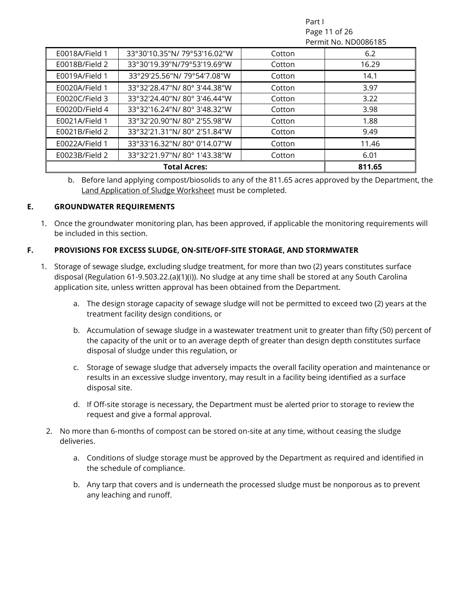Part I Page 11 of 26 Permit No. ND0086185

| E0018A/Field 1 | 33°30'10.35"N/79°53'16.02"W | Cotton | 6.2    |
|----------------|-----------------------------|--------|--------|
| E0018B/Field 2 | 33°30'19.39"N/79°53'19.69"W | Cotton | 16.29  |
| E0019A/Field 1 | 33°29'25.56"N/79°54'7.08"W  | Cotton | 14.1   |
| E0020A/Field 1 | 33°32'28.47"N/80°3'44.38"W  | Cotton | 3.97   |
| E0020C/Field 3 | 33°32'24.40"N/80°3'46.44"W  | Cotton | 3.22   |
| E0020D/Field 4 | 33°32'16.24"N/80°3'48.32"W  | Cotton | 3.98   |
| E0021A/Field 1 | 33°32'20.90"N/80°2'55.98"W  | Cotton | 1.88   |
| E0021B/Field 2 | 33°32'21.31"N/80°2'51.84"W  | Cotton | 9.49   |
| E0022A/Field 1 | 33°33'16.32"N/80°0'14.07"W  | Cotton | 11.46  |
| E0023B/Field 2 | 33°32'21.97"N/80°1'43.38"W  | Cotton | 6.01   |
|                | <b>Total Acres:</b>         |        | 811.65 |

b. Before land applying compost/biosolids to any of the 811.65 acres approved by the Department, the Land Application of Sludge Worksheet must be completed.

#### <span id="page-10-0"></span>**E. GROUNDWATER REQUIREMENTS**

1. Once the groundwater monitoring plan, has been approved, if applicable the monitoring requirements will be included in this section.

#### <span id="page-10-1"></span>**F. PROVISIONS FOR EXCESS SLUDGE, ON-SITE/OFF-SITE STORAGE, AND STORMWATER**

- 1. Storage of sewage sludge, excluding sludge treatment, for more than two (2) years constitutes surface disposal (Regulation 61-9.503.22.(a)(1)(i)). No sludge at any time shall be stored at any South Carolina application site, unless written approval has been obtained from the Department.
	- a. The design storage capacity of sewage sludge will not be permitted to exceed two (2) years at the treatment facility design conditions, or
	- b. Accumulation of sewage sludge in a wastewater treatment unit to greater than fifty (50) percent of the capacity of the unit or to an average depth of greater than design depth constitutes surface disposal of sludge under this regulation, or
	- c. Storage of sewage sludge that adversely impacts the overall facility operation and maintenance or results in an excessive sludge inventory, may result in a facility being identified as a surface disposal site.
	- d. If Off-site storage is necessary, the Department must be alerted prior to storage to review the request and give a formal approval.
	- 2. No more than 6-months of compost can be stored on-site at any time, without ceasing the sludge deliveries.
		- a. Conditions of sludge storage must be approved by the Department as required and identified in the schedule of compliance.
		- b. Any tarp that covers and is underneath the processed sludge must be nonporous as to prevent any leaching and runoff.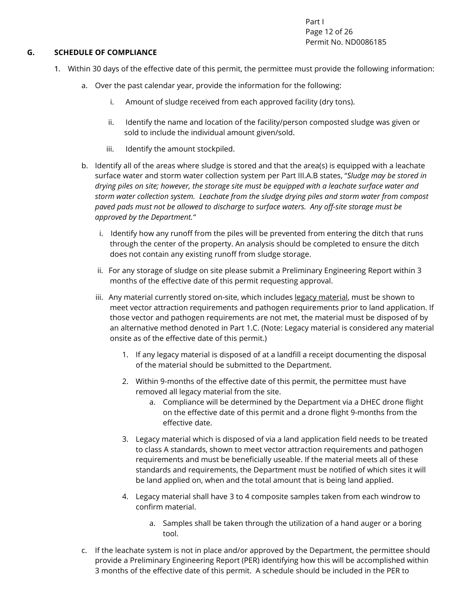Part I Page 12 of 26 Permit No. ND0086185

#### <span id="page-11-0"></span>**G. SCHEDULE OF COMPLIANCE**

- 1. Within 30 days of the effective date of this permit, the permittee must provide the following information:
	- a. Over the past calendar year, provide the information for the following:
		- i. Amount of sludge received from each approved facility (dry tons).
		- ii. Identify the name and location of the facility/person composted sludge was given or sold to include the individual amount given/sold.
		- iii. Identify the amount stockpiled.
	- b. Identify all of the areas where sludge is stored and that the area(s) is equipped with a leachate surface water and storm water collection system per Part III.A.B states, "*Sludge may be stored in drying piles on site; however, the storage site must be equipped with a leachate surface water and storm water collection system. Leachate from the sludge drying piles and storm water from compost paved pads must not be allowed to discharge to surface waters. Any off-site storage must be approved by the Department."*
		- i. Identify how any runoff from the piles will be prevented from entering the ditch that runs through the center of the property. An analysis should be completed to ensure the ditch does not contain any existing runoff from sludge storage.
		- ii. For any storage of sludge on site please submit a Preliminary Engineering Report within 3 months of the effective date of this permit requesting approval.
		- iii. Any material currently stored on-site, which includes legacy material, must be shown to meet vector attraction requirements and pathogen requirements prior to land application. If those vector and pathogen requirements are not met, the material must be disposed of by an alternative method denoted in Part 1.C. (Note: Legacy material is considered any material onsite as of the effective date of this permit.)
			- 1. If any legacy material is disposed of at a landfill a receipt documenting the disposal of the material should be submitted to the Department.
			- 2. Within 9-months of the effective date of this permit, the permittee must have removed all legacy material from the site.
				- a. Compliance will be determined by the Department via a DHEC drone flight on the effective date of this permit and a drone flight 9-months from the effective date.
			- 3. Legacy material which is disposed of via a land application field needs to be treated to class A standards, shown to meet vector attraction requirements and pathogen requirements and must be beneficially useable. If the material meets all of these standards and requirements, the Department must be notified of which sites it will be land applied on, when and the total amount that is being land applied.
			- 4. Legacy material shall have 3 to 4 composite samples taken from each windrow to confirm material.
				- a. Samples shall be taken through the utilization of a hand auger or a boring tool.
	- c. If the leachate system is not in place and/or approved by the Department, the permittee should provide a Preliminary Engineering Report (PER) identifying how this will be accomplished within 3 months of the effective date of this permit. A schedule should be included in the PER to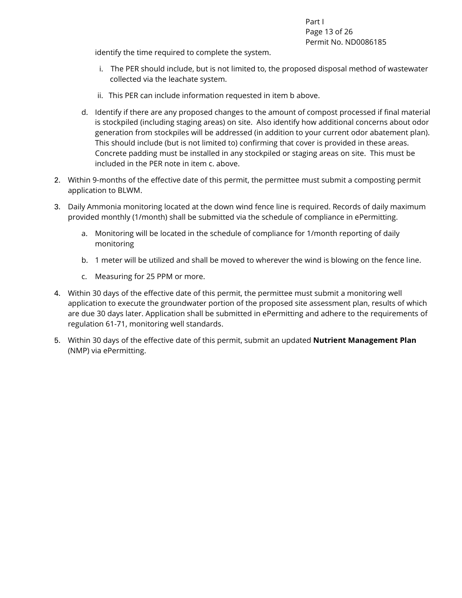Part I Page 13 of 26 Permit No. ND0086185

identify the time required to complete the system.

- i. The PER should include, but is not limited to, the proposed disposal method of wastewater collected via the leachate system.
- ii. This PER can include information requested in item b above.
- d. Identify if there are any proposed changes to the amount of compost processed if final material is stockpiled (including staging areas) on site. Also identify how additional concerns about odor generation from stockpiles will be addressed (in addition to your current odor abatement plan). This should include (but is not limited to) confirming that cover is provided in these areas. Concrete padding must be installed in any stockpiled or staging areas on site. This must be included in the PER note in item c. above.
- 2. Within 9-months of the effective date of this permit, the permittee must submit a composting permit application to BLWM.
- 3. Daily Ammonia monitoring located at the down wind fence line is required. Records of daily maximum provided monthly (1/month) shall be submitted via the schedule of compliance in ePermitting.
	- a. Monitoring will be located in the schedule of compliance for 1/month reporting of daily monitoring
	- b. 1 meter will be utilized and shall be moved to wherever the wind is blowing on the fence line.
	- c. Measuring for 25 PPM or more.
- 4. Within 30 days of the effective date of this permit, the permittee must submit a monitoring well application to execute the groundwater portion of the proposed site assessment plan, results of which are due 30 days later. Application shall be submitted in ePermitting and adhere to the requirements of regulation 61-71, monitoring well standards.
- 5. Within 30 days of the effective date of this permit, submit an updated **Nutrient Management Plan** (NMP) via ePermitting.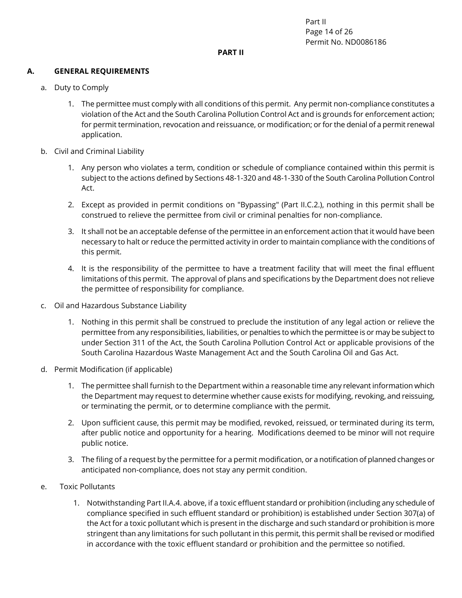Part II Page 14 of 26 Permit No. ND0086186

#### **PART II**

#### <span id="page-13-1"></span><span id="page-13-0"></span>**A. GENERAL REQUIREMENTS**

- a. Duty to Comply
	- 1. The permittee must comply with all conditions of this permit. Any permit non-compliance constitutes a violation of the Act and the South Carolina Pollution Control Act and is grounds for enforcement action; for permit termination, revocation and reissuance, or modification; or for the denial of a permit renewal application.
- b. Civil and Criminal Liability
	- 1. Any person who violates a term, condition or schedule of compliance contained within this permit is subject to the actions defined by Sections 48-1-320 and 48-1-330 of the South Carolina Pollution Control Act.
	- 2. Except as provided in permit conditions on "Bypassing" (Part II.C.2.), nothing in this permit shall be construed to relieve the permittee from civil or criminal penalties for non-compliance.
	- 3. It shall not be an acceptable defense of the permittee in an enforcement action that it would have been necessary to halt or reduce the permitted activity in order to maintain compliance with the conditions of this permit.
	- 4. It is the responsibility of the permittee to have a treatment facility that will meet the final effluent limitations of this permit. The approval of plans and specifications by the Department does not relieve the permittee of responsibility for compliance.
- c. Oil and Hazardous Substance Liability
	- 1. Nothing in this permit shall be construed to preclude the institution of any legal action or relieve the permittee from any responsibilities, liabilities, or penalties to which the permittee is or may be subject to under Section 311 of the Act, the South Carolina Pollution Control Act or applicable provisions of the South Carolina Hazardous Waste Management Act and the South Carolina Oil and Gas Act.
- d. Permit Modification (if applicable)
	- 1. The permittee shall furnish to the Department within a reasonable time any relevant information which the Department may request to determine whether cause exists for modifying, revoking, and reissuing, or terminating the permit, or to determine compliance with the permit.
	- 2. Upon sufficient cause, this permit may be modified, revoked, reissued, or terminated during its term, after public notice and opportunity for a hearing. Modifications deemed to be minor will not require public notice.
	- 3. The filing of a request by the permittee for a permit modification, or a notification of planned changes or anticipated non-compliance, does not stay any permit condition.
- e. Toxic Pollutants
	- 1. Notwithstanding Part II.A.4. above, if a toxic effluent standard or prohibition (including any schedule of compliance specified in such effluent standard or prohibition) is established under Section 307(a) of the Act for a toxic pollutant which is present in the discharge and such standard or prohibition is more stringent than any limitations for such pollutant in this permit, this permit shall be revised or modified in accordance with the toxic effluent standard or prohibition and the permittee so notified.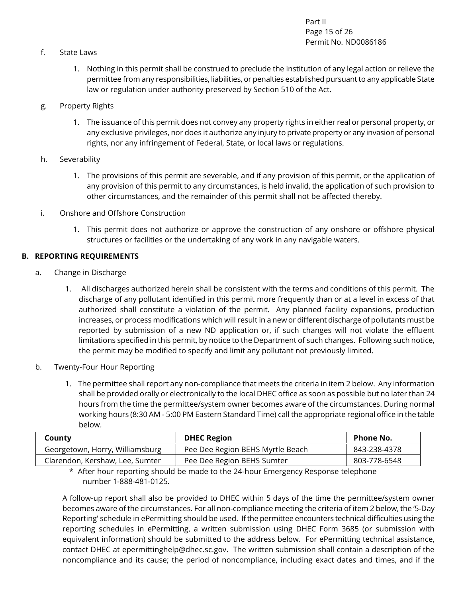Part II Page 15 of 26 Permit No. ND0086186

- f. State Laws
	- 1. Nothing in this permit shall be construed to preclude the institution of any legal action or relieve the permittee from any responsibilities, liabilities, or penalties established pursuant to any applicable State law or regulation under authority preserved by Section 510 of the Act.
- g. Property Rights
	- 1. The issuance of this permit does not convey any property rights in either real or personal property, or any exclusive privileges, nor does it authorize any injury to private property or any invasion of personal rights, nor any infringement of Federal, State, or local laws or regulations.
- h. Severability
	- 1. The provisions of this permit are severable, and if any provision of this permit, or the application of any provision of this permit to any circumstances, is held invalid, the application of such provision to other circumstances, and the remainder of this permit shall not be affected thereby.
- i. Onshore and Offshore Construction
	- 1. This permit does not authorize or approve the construction of any onshore or offshore physical structures or facilities or the undertaking of any work in any navigable waters.

#### <span id="page-14-0"></span>**B. REPORTING REQUIREMENTS**

- a. Change in Discharge
	- 1. All discharges authorized herein shall be consistent with the terms and conditions of this permit. The discharge of any pollutant identified in this permit more frequently than or at a level in excess of that authorized shall constitute a violation of the permit. Any planned facility expansions, production increases, or process modifications which will result in a new or different discharge of pollutants must be reported by submission of a new ND application or, if such changes will not violate the effluent limitations specified in this permit, by notice to the Department of such changes. Following such notice, the permit may be modified to specify and limit any pollutant not previously limited.
- b. Twenty-Four Hour Reporting
	- 1. The permittee shall report any non-compliance that meets the criteria in item 2 below. Any information shall be provided orally or electronically to the local DHEC office as soon as possible but no later than 24 hours from the time the permittee/system owner becomes aware of the circumstances. During normal working hours (8:30 AM - 5:00 PM Eastern Standard Time) call the appropriate regional office in the table below.

| County                          | <b>DHEC Region</b>               | <b>Phone No.</b> |
|---------------------------------|----------------------------------|------------------|
| Georgetown, Horry, Williamsburg | Pee Dee Region BEHS Myrtle Beach | 843-238-4378     |
| Clarendon, Kershaw, Lee, Sumter | Pee Dee Region BEHS Sumter       | 803-778-6548     |

\* After hour reporting should be made to the 24-hour Emergency Response telephone number 1-888-481-0125.

A follow-up report shall also be provided to DHEC within 5 days of the time the permittee/system owner becomes aware of the circumstances. For all non-compliance meeting the criteria of item 2 below, the '5-Day Reporting' schedule in ePermitting should be used. If the permittee encounters technical difficulties using the reporting schedules in ePermitting, a written submission using DHEC Form 3685 (or submission with equivalent information) should be submitted to the address below. For ePermitting technical assistance, contact DHEC at [epermittinghelp@dhec.sc.gov.](mailto:epermittinghelp@dhec.sc.gov) The written submission shall contain a description of the noncompliance and its cause; the period of noncompliance, including exact dates and times, and if the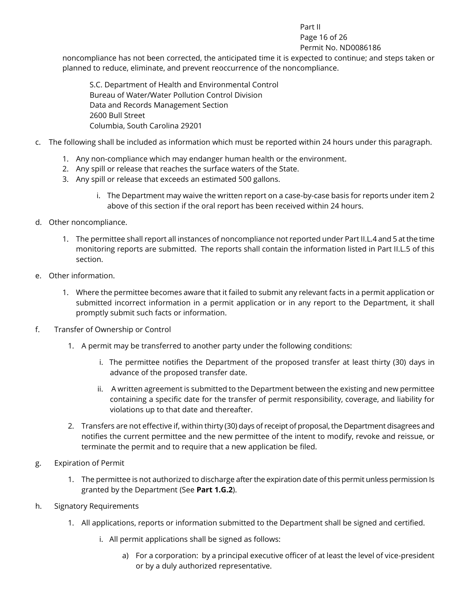#### Part II Page 16 of 26

#### Permit No. ND0086186

noncompliance has not been corrected, the anticipated time it is expected to continue; and steps taken or planned to reduce, eliminate, and prevent reoccurrence of the noncompliance.

S.C. Department of Health and Environmental Control Bureau of Water/Water Pollution Control Division Data and Records Management Section 2600 Bull Street Columbia, South Carolina 29201

- c. The following shall be included as information which must be reported within 24 hours under this paragraph.
	- 1. Any non-compliance which may endanger human health or the environment.
	- 2. Any spill or release that reaches the surface waters of the State.
	- 3. Any spill or release that exceeds an estimated 500 gallons.
		- i. The Department may waive the written report on a case-by-case basis for reports under item 2 above of this section if the oral report has been received within 24 hours.
- d. Other noncompliance.
	- 1. The permittee shall report all instances of noncompliance not reported under Part II.L.4 and 5 at the time monitoring reports are submitted. The reports shall contain the information listed in Part II.L.5 of this section.
- e. Other information.
	- 1. Where the permittee becomes aware that it failed to submit any relevant facts in a permit application or submitted incorrect information in a permit application or in any report to the Department, it shall promptly submit such facts or information.
- f. Transfer of Ownership or Control
	- 1. A permit may be transferred to another party under the following conditions:
		- i. The permittee notifies the Department of the proposed transfer at least thirty (30) days in advance of the proposed transfer date.
		- ii. A written agreement is submitted to the Department between the existing and new permittee containing a specific date for the transfer of permit responsibility, coverage, and liability for violations up to that date and thereafter.
	- 2. Transfers are not effective if, within thirty (30) days of receipt of proposal, the Department disagrees and notifies the current permittee and the new permittee of the intent to modify, revoke and reissue, or terminate the permit and to require that a new application be filed.
- g. Expiration of Permit
	- 1. The permittee is not authorized to discharge after the expiration date of this permit unless permission Is granted by the Department (See **Part 1.G.2**).
- h. Signatory Requirements
	- 1. All applications, reports or information submitted to the Department shall be signed and certified.
		- i. All permit applications shall be signed as follows:
			- a) For a corporation: by a principal executive officer of at least the level of vice-president or by a duly authorized representative.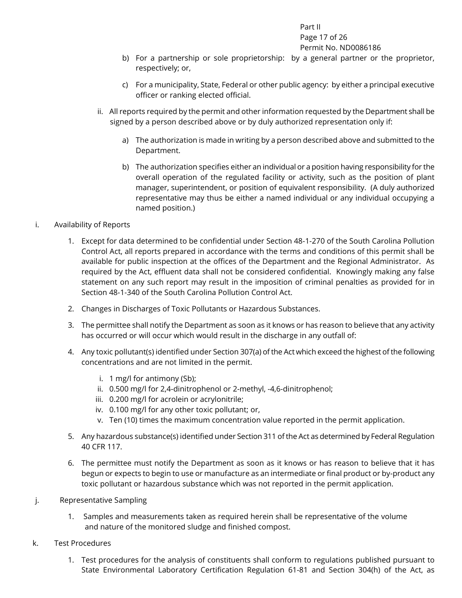#### Part II Page 17 of 26 Permit No. ND0086186

- b) For a partnership or sole proprietorship: by a general partner or the proprietor, respectively; or,
- c) For a municipality, State, Federal or other public agency: by either a principal executive officer or ranking elected official.
- ii. All reports required by the permit and other information requested by the Department shall be signed by a person described above or by duly authorized representation only if:
	- a) The authorization is made in writing by a person described above and submitted to the Department.
	- b) The authorization specifies either an individual or a position having responsibility for the overall operation of the regulated facility or activity, such as the position of plant manager, superintendent, or position of equivalent responsibility. (A duly authorized representative may thus be either a named individual or any individual occupying a named position.)

#### i. Availability of Reports

- 1. Except for data determined to be confidential under Section 48-1-270 of the South Carolina Pollution Control Act, all reports prepared in accordance with the terms and conditions of this permit shall be available for public inspection at the offices of the Department and the Regional Administrator. As required by the Act, effluent data shall not be considered confidential. Knowingly making any false statement on any such report may result in the imposition of criminal penalties as provided for in Section 48-1-340 of the South Carolina Pollution Control Act.
- 2. Changes in Discharges of Toxic Pollutants or Hazardous Substances.
- 3. The permittee shall notify the Department as soon as it knows or has reason to believe that any activity has occurred or will occur which would result in the discharge in any outfall of:
- 4. Any toxic pollutant(s) identified under Section 307(a) of the Act which exceed the highest of the following concentrations and are not limited in the permit.
	- i. 1 mg/l for antimony (Sb);
	- ii. 0.500 mg/l for 2,4-dinitrophenol or 2-methyl, -4,6-dinitrophenol;
	- iii. 0.200 mg/l for acrolein or acrylonitrile;
	- iv. 0.100 mg/l for any other toxic pollutant; or,
	- v. Ten (10) times the maximum concentration value reported in the permit application.
- 5. Any hazardous substance(s) identified under Section 311 of the Act as determined by Federal Regulation 40 CFR 117.
- 6. The permittee must notify the Department as soon as it knows or has reason to believe that it has begun or expects to begin to use or manufacture as an intermediate or final product or by-product any toxic pollutant or hazardous substance which was not reported in the permit application.
- j. Representative Sampling
	- 1. Samples and measurements taken as required herein shall be representative of the volume and nature of the monitored sludge and finished compost.
- k. Test Procedures
	- 1. Test procedures for the analysis of constituents shall conform to regulations published pursuant to State Environmental Laboratory Certification Regulation 61-81 and Section 304(h) of the Act, as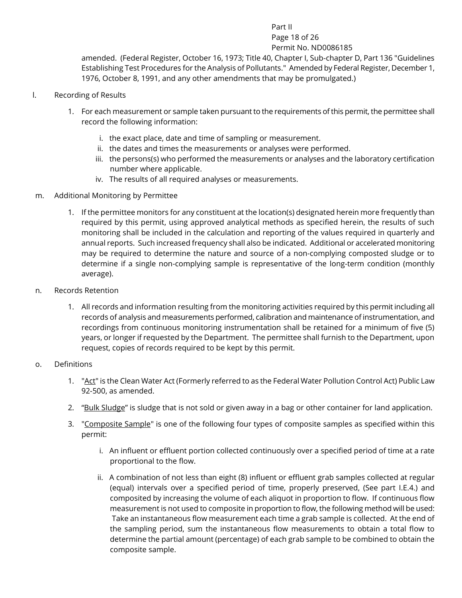#### Part II Page 18 of 26 Permit No. ND0086185

amended. (Federal Register, October 16, 1973; Title 40, Chapter I, Sub-chapter D, Part 136 "Guidelines Establishing Test Procedures for the Analysis of Pollutants." Amended by Federal Register, December 1, 1976, October 8, 1991, and any other amendments that may be promulgated.)

- l. Recording of Results
	- 1. For each measurement or sample taken pursuant to the requirements of this permit, the permittee shall record the following information:
		- i. the exact place, date and time of sampling or measurement.
		- ii. the dates and times the measurements or analyses were performed.
		- iii. the persons(s) who performed the measurements or analyses and the laboratory certification number where applicable.
		- iv. The results of all required analyses or measurements.
- m. Additional Monitoring by Permittee
	- 1. If the permittee monitors for any constituent at the location(s) designated herein more frequently than required by this permit, using approved analytical methods as specified herein, the results of such monitoring shall be included in the calculation and reporting of the values required in quarterly and annual reports. Such increased frequency shall also be indicated. Additional or accelerated monitoring may be required to determine the nature and source of a non-complying composted sludge or to determine if a single non-complying sample is representative of the long-term condition (monthly average).
- n. Records Retention
	- 1. All records and information resulting from the monitoring activities required by this permit including all records of analysis and measurements performed, calibration and maintenance of instrumentation, and recordings from continuous monitoring instrumentation shall be retained for a minimum of five (5) years, or longer if requested by the Department. The permittee shall furnish to the Department, upon request, copies of records required to be kept by this permit.
- o. Definitions
	- 1. "Act" is the Clean Water Act (Formerly referred to as the Federal Water Pollution Control Act) Public Law 92-500, as amended.
	- 2. "Bulk Sludge" is sludge that is not sold or given away in a bag or other container for land application.
	- 3. "Composite Sample" is one of the following four types of composite samples as specified within this permit:
		- i. An influent or effluent portion collected continuously over a specified period of time at a rate proportional to the flow.
		- ii. A combination of not less than eight (8) influent or effluent grab samples collected at regular (equal) intervals over a specified period of time, properly preserved, (See part I.E.4.) and composited by increasing the volume of each aliquot in proportion to flow. If continuous flow measurement is not used to composite in proportion to flow, the following method will be used: Take an instantaneous flow measurement each time a grab sample is collected. At the end of the sampling period, sum the instantaneous flow measurements to obtain a total flow to determine the partial amount (percentage) of each grab sample to be combined to obtain the composite sample.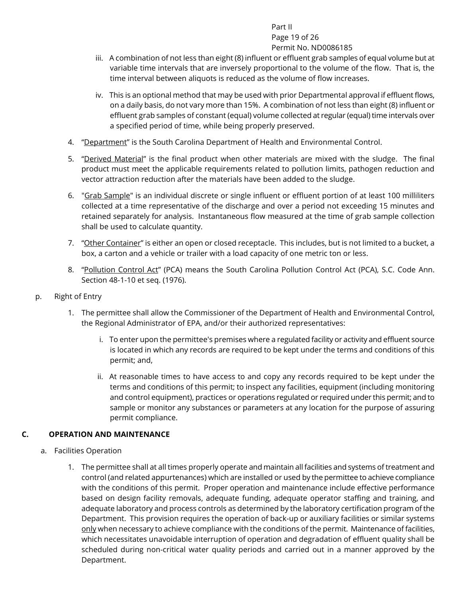#### Part II Page 19 of 26 Permit No. ND0086185

- iii. A combination of not less than eight (8) influent or effluent grab samples of equal volume but at variable time intervals that are inversely proportional to the volume of the flow. That is, the time interval between aliquots is reduced as the volume of flow increases.
- iv. This is an optional method that may be used with prior Departmental approval if effluent flows, on a daily basis, do not vary more than 15%. A combination of not less than eight (8) influent or effluent grab samples of constant (equal) volume collected at regular (equal) time intervals over a specified period of time, while being properly preserved.
- 4. "Department" is the South Carolina Department of Health and Environmental Control.
- 5. "Derived Material" is the final product when other materials are mixed with the sludge. The final product must meet the applicable requirements related to pollution limits, pathogen reduction and vector attraction reduction after the materials have been added to the sludge.
- 6. "Grab Sample" is an individual discrete or single influent or effluent portion of at least 100 milliliters collected at a time representative of the discharge and over a period not exceeding 15 minutes and retained separately for analysis. Instantaneous flow measured at the time of grab sample collection shall be used to calculate quantity.
- 7. "Other Container" is either an open or closed receptacle. This includes, but is not limited to a bucket, a box, a carton and a vehicle or trailer with a load capacity of one metric ton or less.
- 8. "Pollution Control Act" (PCA) means the South Carolina Pollution Control Act (PCA), S.C. Code Ann. Section 48-1-10 et seq. (1976).
- p. Right of Entry
	- 1. The permittee shall allow the Commissioner of the Department of Health and Environmental Control, the Regional Administrator of EPA, and/or their authorized representatives:
		- i. To enter upon the permittee's premises where a regulated facility or activity and effluent source is located in which any records are required to be kept under the terms and conditions of this permit; and,
		- ii. At reasonable times to have access to and copy any records required to be kept under the terms and conditions of this permit; to inspect any facilities, equipment (including monitoring and control equipment), practices or operations regulated or required under this permit; and to sample or monitor any substances or parameters at any location for the purpose of assuring permit compliance.

#### <span id="page-18-0"></span>**C. OPERATION AND MAINTENANCE**

- a. Facilities Operation
	- 1. The permittee shall at all times properly operate and maintain all facilities and systems of treatment and control (and related appurtenances) which are installed or used by the permittee to achieve compliance with the conditions of this permit. Proper operation and maintenance include effective performance based on design facility removals, adequate funding, adequate operator staffing and training, and adequate laboratory and process controls as determined by the laboratory certification program of the Department. This provision requires the operation of back-up or auxiliary facilities or similar systems only when necessary to achieve compliance with the conditions of the permit. Maintenance of facilities, which necessitates unavoidable interruption of operation and degradation of effluent quality shall be scheduled during non-critical water quality periods and carried out in a manner approved by the Department.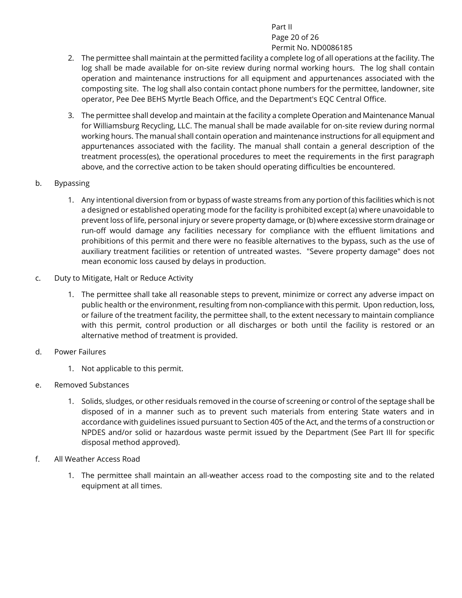#### Part II Page 20 of 26 Permit No. ND0086185

- 2. The permittee shall maintain at the permitted facility a complete log of all operations at the facility. The log shall be made available for on-site review during normal working hours. The log shall contain operation and maintenance instructions for all equipment and appurtenances associated with the composting site. The log shall also contain contact phone numbers for the permittee, landowner, site operator, Pee Dee BEHS Myrtle Beach Office, and the Department's EQC Central Office.
- 3. The permittee shall develop and maintain at the facility a complete Operation and Maintenance Manual for Williamsburg Recycling, LLC. The manual shall be made available for on-site review during normal working hours. The manual shall contain operation and maintenance instructions for all equipment and appurtenances associated with the facility. The manual shall contain a general description of the treatment process(es), the operational procedures to meet the requirements in the first paragraph above, and the corrective action to be taken should operating difficulties be encountered.
- b. Bypassing
	- 1. Any intentional diversion from or bypass of waste streams from any portion of this facilities which is not a designed or established operating mode for the facility is prohibited except (a) where unavoidable to prevent loss of life, personal injury or severe property damage, or (b) where excessive storm drainage or run-off would damage any facilities necessary for compliance with the effluent limitations and prohibitions of this permit and there were no feasible alternatives to the bypass, such as the use of auxiliary treatment facilities or retention of untreated wastes. "Severe property damage" does not mean economic loss caused by delays in production.
- c. Duty to Mitigate, Halt or Reduce Activity
	- 1. The permittee shall take all reasonable steps to prevent, minimize or correct any adverse impact on public health or the environment, resulting from non-compliance with this permit. Upon reduction, loss, or failure of the treatment facility, the permittee shall, to the extent necessary to maintain compliance with this permit, control production or all discharges or both until the facility is restored or an alternative method of treatment is provided.
- d. Power Failures
	- 1. Not applicable to this permit.
- e. Removed Substances
	- 1. Solids, sludges, or other residuals removed in the course of screening or control of the septage shall be disposed of in a manner such as to prevent such materials from entering State waters and in accordance with guidelines issued pursuant to Section 405 of the Act, and the terms of a construction or NPDES and/or solid or hazardous waste permit issued by the Department (See Part III for specific disposal method approved).
- f. All Weather Access Road
	- 1. The permittee shall maintain an all-weather access road to the composting site and to the related equipment at all times.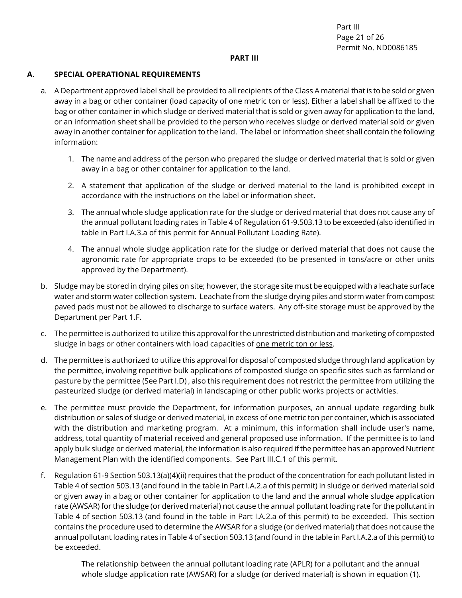Part III Page 21 of 26 Permit No. ND0086185

#### <span id="page-20-0"></span>**PART III**

#### <span id="page-20-1"></span>**A. SPECIAL OPERATIONAL REQUIREMENTS**

- a. A Department approved label shall be provided to all recipients of the Class A material that is to be sold or given away in a bag or other container (load capacity of one metric ton or less). Either a label shall be affixed to the bag or other container in which sludge or derived material that is sold or given away for application to the land, or an information sheet shall be provided to the person who receives sludge or derived material sold or given away in another container for application to the land. The label or information sheet shall contain the following information:
	- 1. The name and address of the person who prepared the sludge or derived material that is sold or given away in a bag or other container for application to the land.
	- 2. A statement that application of the sludge or derived material to the land is prohibited except in accordance with the instructions on the label or information sheet.
	- 3. The annual whole sludge application rate for the sludge or derived material that does not cause any of the annual pollutant loading rates in Table 4 of Regulation 61-9.503.13 to be exceeded (also identified in table in Part I.A.3.a of this permit for Annual Pollutant Loading Rate).
	- 4. The annual whole sludge application rate for the sludge or derived material that does not cause the agronomic rate for appropriate crops to be exceeded (to be presented in tons/acre or other units approved by the Department).
- b. Sludge may be stored in drying piles on site; however, the storage site must be equipped with a leachate surface water and storm water collection system. Leachate from the sludge drying piles and storm water from compost paved pads must not be allowed to discharge to surface waters. Any off-site storage must be approved by the Department per Part 1.F.
- c. The permittee is authorized to utilize this approval for the unrestricted distribution and marketing of composted sludge in bags or other containers with load capacities of one metric ton or less.
- d. The permittee is authorized to utilize this approval for disposal of composted sludge through land application by the permittee, involving repetitive bulk applications of composted sludge on specific sites such as farmland or pasture by the permittee (See Part I.D) , also this requirement does not restrict the permittee from utilizing the pasteurized sludge (or derived material) in landscaping or other public works projects or activities.
- e. The permittee must provide the Department, for information purposes, an annual update regarding bulk distribution or sales of sludge or derived material, in excess of one metric ton per container, which is associated with the distribution and marketing program. At a minimum, this information shall include user's name, address, total quantity of material received and general proposed use information. If the permittee is to land apply bulk sludge or derived material, the information is also required if the permittee has an approved Nutrient Management Plan with the identified components. See Part III.C.1 of this permit.
- f. Regulation 61-9 Section 503.13(a)(4)(ii) requires that the product of the concentration for each pollutant listed in Table 4 of section 503.13 (and found in the table in Part I.A.2.a of this permit) in sludge or derived material sold or given away in a bag or other container for application to the land and the annual whole sludge application rate (AWSAR) for the sludge (or derived material) not cause the annual pollutant loading rate for the pollutant in Table 4 of section 503.13 (and found in the table in Part I.A.2.a of this permit) to be exceeded. This section contains the procedure used to determine the AWSAR for a sludge (or derived material) that does not cause the annual pollutant loading rates in Table 4 of section 503.13 (and found in the table in Part I.A.2.a of this permit) to be exceeded.

The relationship between the annual pollutant loading rate (APLR) for a pollutant and the annual whole sludge application rate (AWSAR) for a sludge (or derived material) is shown in equation (1).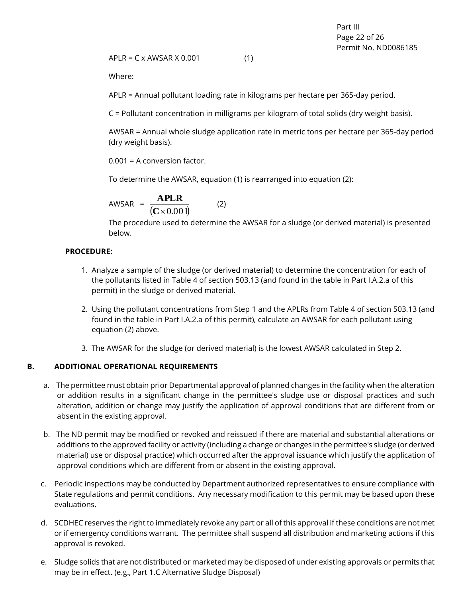$APLR = C \times AWSAR \times 0.001$  (1)

Where:

APLR = Annual pollutant loading rate in kilograms per hectare per 365-day period.

C = Pollutant concentration in milligrams per kilogram of total solids (dry weight basis).

AWSAR = Annual whole sludge application rate in metric tons per hectare per 365-day period (dry weight basis).

0.001 = A conversion factor.

To determine the AWSAR, equation (1) is rearranged into equation (2):

$$
AWSAR = \frac{APLR}{(C \times 0.001)}
$$
 (2)

The procedure used to determine the AWSAR for a sludge (or derived material) is presented below.

#### **PROCEDURE:**

- 1. Analyze a sample of the sludge (or derived material) to determine the concentration for each of the pollutants listed in Table 4 of section 503.13 (and found in the table in Part I.A.2.a of this permit) in the sludge or derived material.
- 2. Using the pollutant concentrations from Step 1 and the APLRs from Table 4 of section 503.13 (and found in the table in Part I.A.2.a of this permit), calculate an AWSAR for each pollutant using equation (2) above.
- 3. The AWSAR for the sludge (or derived material) is the lowest AWSAR calculated in Step 2.

#### <span id="page-21-0"></span>**B. ADDITIONAL OPERATIONAL REQUIREMENTS**

- a. The permittee must obtain prior Departmental approval of planned changes in the facility when the alteration or addition results in a significant change in the permittee's sludge use or disposal practices and such alteration, addition or change may justify the application of approval conditions that are different from or absent in the existing approval.
- b. The ND permit may be modified or revoked and reissued if there are material and substantial alterations or additions to the approved facility or activity (including a change or changes in the permittee's sludge (or derived material) use or disposal practice) which occurred after the approval issuance which justify the application of approval conditions which are different from or absent in the existing approval.
- c. Periodic inspections may be conducted by Department authorized representatives to ensure compliance with State regulations and permit conditions. Any necessary modification to this permit may be based upon these evaluations.
- d. SCDHEC reserves the right to immediately revoke any part or all of this approval if these conditions are not met or if emergency conditions warrant. The permittee shall suspend all distribution and marketing actions if this approval is revoked.
- e. Sludge solids that are not distributed or marketed may be disposed of under existing approvals or permits that may be in effect. (e.g., Part 1.C Alternative Sludge Disposal)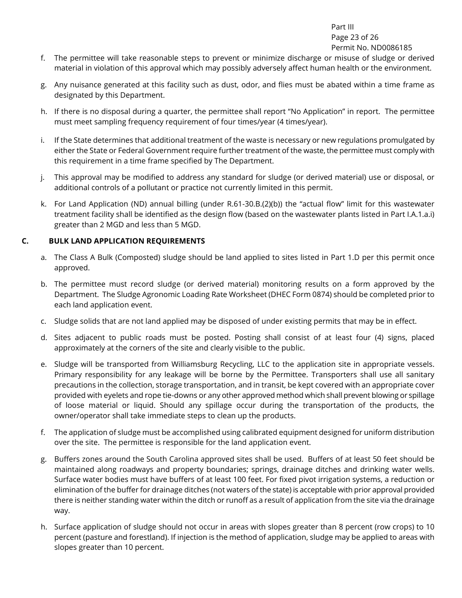Part III Page 23 of 26 Permit No. ND0086185

- f. The permittee will take reasonable steps to prevent or minimize discharge or misuse of sludge or derived material in violation of this approval which may possibly adversely affect human health or the environment.
- g. Any nuisance generated at this facility such as dust, odor, and flies must be abated within a time frame as designated by this Department.
- h. If there is no disposal during a quarter, the permittee shall report "No Application" in report. The permittee must meet sampling frequency requirement of four times/year (4 times/year).
- i. If the State determines that additional treatment of the waste is necessary or new regulations promulgated by either the State or Federal Government require further treatment of the waste, the permittee must comply with this requirement in a time frame specified by The Department.
- j. This approval may be modified to address any standard for sludge (or derived material) use or disposal, or additional controls of a pollutant or practice not currently limited in this permit.
- k. For Land Application (ND) annual billing (under R.61-30.B.(2)(b)) the "actual flow" limit for this wastewater treatment facility shall be identified as the design flow (based on the wastewater plants listed in Part I.A.1.a.i) greater than 2 MGD and less than 5 MGD.

#### <span id="page-22-0"></span>**C. BULK LAND APPLICATION REQUIREMENTS**

- a. The Class A Bulk (Composted) sludge should be land applied to sites listed in Part 1.D per this permit once approved.
- b. The permittee must record sludge (or derived material) monitoring results on a form approved by the Department. The Sludge Agronomic Loading Rate Worksheet (DHEC Form 0874) should be completed prior to each land application event.
- c. Sludge solids that are not land applied may be disposed of under existing permits that may be in effect.
- d. Sites adjacent to public roads must be posted. Posting shall consist of at least four (4) signs, placed approximately at the corners of the site and clearly visible to the public.
- e. Sludge will be transported from Williamsburg Recycling, LLC to the application site in appropriate vessels. Primary responsibility for any leakage will be borne by the Permittee. Transporters shall use all sanitary precautions in the collection, storage transportation, and in transit, be kept covered with an appropriate cover provided with eyelets and rope tie-downs or any other approved method which shall prevent blowing or spillage of loose material or liquid. Should any spillage occur during the transportation of the products, the owner/operator shall take immediate steps to clean up the products.
- f. The application of sludge must be accomplished using calibrated equipment designed for uniform distribution over the site. The permittee is responsible for the land application event.
- g. Buffers zones around the South Carolina approved sites shall be used. Buffers of at least 50 feet should be maintained along roadways and property boundaries; springs, drainage ditches and drinking water wells. Surface water bodies must have buffers of at least 100 feet. For fixed pivot irrigation systems, a reduction or elimination of the buffer for drainage ditches (not waters of the state) is acceptable with prior approval provided there is neither standing water within the ditch or runoff as a result of application from the site via the drainage way.
- h. Surface application of sludge should not occur in areas with slopes greater than 8 percent (row crops) to 10 percent (pasture and forestland). If injection is the method of application, sludge may be applied to areas with slopes greater than 10 percent.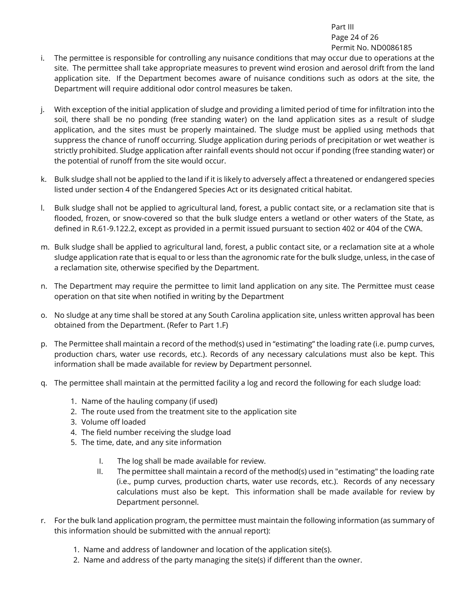Part III Page 24 of 26 Permit No. ND0086185

- i. The permittee is responsible for controlling any nuisance conditions that may occur due to operations at the site. The permittee shall take appropriate measures to prevent wind erosion and aerosol drift from the land application site. If the Department becomes aware of nuisance conditions such as odors at the site, the Department will require additional odor control measures be taken.
- j. With exception of the initial application of sludge and providing a limited period of time for infiltration into the soil, there shall be no ponding (free standing water) on the land application sites as a result of sludge application, and the sites must be properly maintained. The sludge must be applied using methods that suppress the chance of runoff occurring. Sludge application during periods of precipitation or wet weather is strictly prohibited. Sludge application after rainfall events should not occur if ponding (free standing water) or the potential of runoff from the site would occur.
- k. Bulk sludge shall not be applied to the land if it is likely to adversely affect a threatened or endangered species listed under section 4 of the Endangered Species Act or its designated critical habitat.
- l. Bulk sludge shall not be applied to agricultural land, forest, a public contact site, or a reclamation site that is flooded, frozen, or snow-covered so that the bulk sludge enters a wetland or other waters of the State, as defined in R.61-9.122.2, except as provided in a permit issued pursuant to section 402 or 404 of the CWA.
- m. Bulk sludge shall be applied to agricultural land, forest, a public contact site, or a reclamation site at a whole sludge application rate that is equal to or less than the agronomic rate for the bulk sludge, unless, in the case of a reclamation site, otherwise specified by the Department.
- n. The Department may require the permittee to limit land application on any site. The Permittee must cease operation on that site when notified in writing by the Department
- o. No sludge at any time shall be stored at any South Carolina application site, unless written approval has been obtained from the Department. (Refer to Part 1.F)
- p. The Permittee shall maintain a record of the method(s) used in "estimating" the loading rate (i.e. pump curves, production chars, water use records, etc.). Records of any necessary calculations must also be kept. This information shall be made available for review by Department personnel.
- q. The permittee shall maintain at the permitted facility a log and record the following for each sludge load:
	- 1. Name of the hauling company (if used)
	- 2. The route used from the treatment site to the application site
	- 3. Volume off loaded
	- 4. The field number receiving the sludge load
	- 5. The time, date, and any site information
		- I. The log shall be made available for review.
		- II. The permittee shall maintain a record of the method(s) used in "estimating" the loading rate (i.e., pump curves, production charts, water use records, etc.). Records of any necessary calculations must also be kept. This information shall be made available for review by Department personnel.
- r. For the bulk land application program, the permittee must maintain the following information (as summary of this information should be submitted with the annual report):
	- 1. Name and address of landowner and location of the application site(s).
	- 2. Name and address of the party managing the site(s) if different than the owner.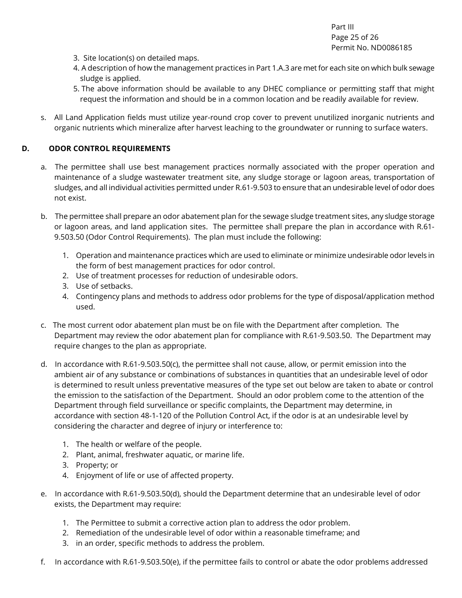Part III Page 25 of 26 Permit No. ND0086185

- 3. Site location(s) on detailed maps.
- 4. A description of how the management practices in Part 1.A.3 are met for each site on which bulk sewage sludge is applied.
- 5. The above information should be available to any DHEC compliance or permitting staff that might request the information and should be in a common location and be readily available for review.
- s. All Land Application fields must utilize year-round crop cover to prevent unutilized inorganic nutrients and organic nutrients which mineralize after harvest leaching to the groundwater or running to surface waters.

#### <span id="page-24-0"></span>**D. ODOR CONTROL REQUIREMENTS**

- a. The permittee shall use best management practices normally associated with the proper operation and maintenance of a sludge wastewater treatment site, any sludge storage or lagoon areas, transportation of sludges, and all individual activities permitted under R.61-9.503 to ensure that an undesirable level of odor does not exist.
- b. The permittee shall prepare an odor abatement plan for the sewage sludge treatment sites, any sludge storage or lagoon areas, and land application sites. The permittee shall prepare the plan in accordance with R.61- 9.503.50 (Odor Control Requirements). The plan must include the following:
	- 1. Operation and maintenance practices which are used to eliminate or minimize undesirable odor levels in the form of best management practices for odor control.
	- 2. Use of treatment processes for reduction of undesirable odors.
	- 3. Use of setbacks.
	- 4. Contingency plans and methods to address odor problems for the type of disposal/application method used.
- c. The most current odor abatement plan must be on file with the Department after completion. The Department may review the odor abatement plan for compliance with R.61-9.503.50. The Department may require changes to the plan as appropriate.
- d. In accordance with R.61-9.503.50(c), the permittee shall not cause, allow, or permit emission into the ambient air of any substance or combinations of substances in quantities that an undesirable level of odor is determined to result unless preventative measures of the type set out below are taken to abate or control the emission to the satisfaction of the Department. Should an odor problem come to the attention of the Department through field surveillance or specific complaints, the Department may determine, in accordance with section 48-1-120 of the Pollution Control Act, if the odor is at an undesirable level by considering the character and degree of injury or interference to:
	- 1. The health or welfare of the people.
	- 2. Plant, animal, freshwater aquatic, or marine life.
	- 3. Property; or
	- 4. Enjoyment of life or use of affected property.
- e. In accordance with R.61-9.503.50(d), should the Department determine that an undesirable level of odor exists, the Department may require:
	- 1. The Permittee to submit a corrective action plan to address the odor problem.
	- 2. Remediation of the undesirable level of odor within a reasonable timeframe; and
	- 3. in an order, specific methods to address the problem.
- f. In accordance with R.61-9.503.50(e), if the permittee fails to control or abate the odor problems addressed